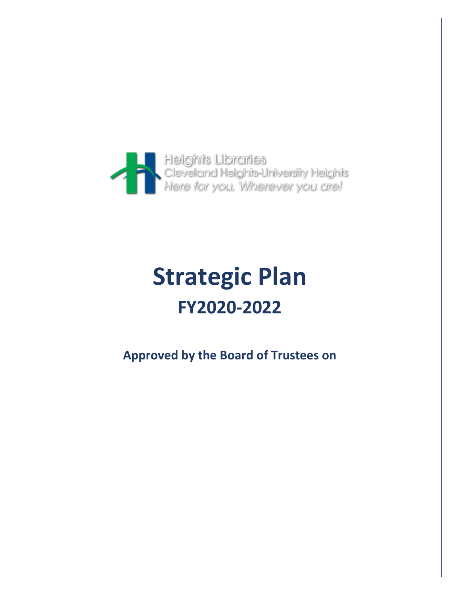

# **Strategic Plan FY2020-2022**

**Approved by the Board of Trustees on**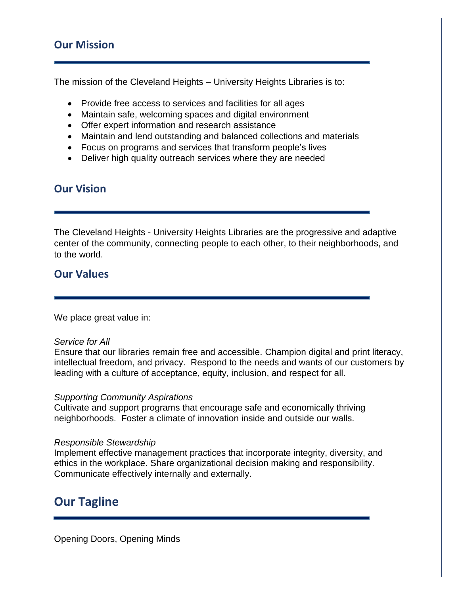# **Our Mission**

The mission of the Cleveland Heights – University Heights Libraries is to:

- Provide free access to services and facilities for all ages
- Maintain safe, welcoming spaces and digital environment
- Offer expert information and research assistance
- Maintain and lend outstanding and balanced collections and materials
- Focus on programs and services that transform people's lives
- Deliver high quality outreach services where they are needed

# **Our Vision**

The Cleveland Heights - University Heights Libraries are the progressive and adaptive center of the community, connecting people to each other, to their neighborhoods, and to the world.

# **Our Values**

We place great value in:

#### *Service for All*

Ensure that our libraries remain free and accessible. Champion digital and print literacy, intellectual freedom, and privacy. Respond to the needs and wants of our customers by leading with a culture of acceptance, equity, inclusion, and respect for all.

#### *Supporting Community Aspirations*

Cultivate and support programs that encourage safe and economically thriving neighborhoods. Foster a climate of innovation inside and outside our walls.

#### *Responsible Stewardship*

Implement effective management practices that incorporate integrity, diversity, and ethics in the workplace. Share organizational decision making and responsibility. Communicate effectively internally and externally.

# **Our Tagline**

Opening Doors, Opening Minds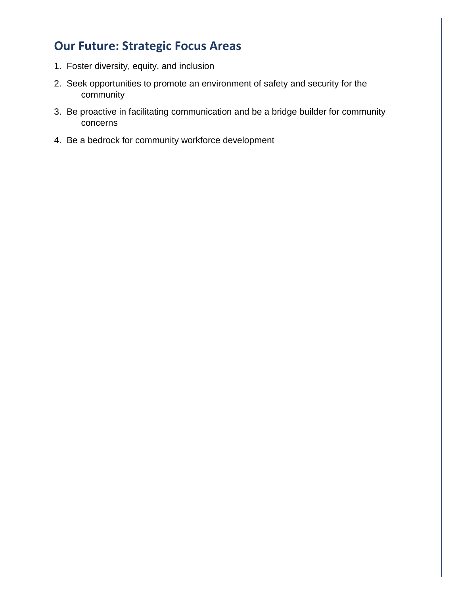# **Our Future: Strategic Focus Areas**

- 1. Foster diversity, equity, and inclusion
- 2. Seek opportunities to promote an environment of safety and security for the community
- 3. Be proactive in facilitating communication and be a bridge builder for community concerns
- 4. Be a bedrock for community workforce development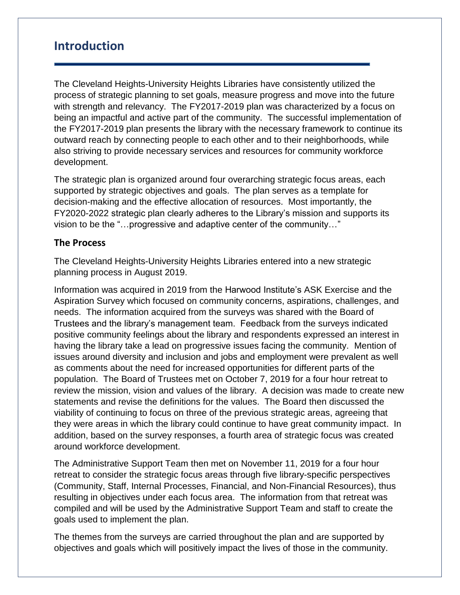# **Introduction**

The Cleveland Heights-University Heights Libraries have consistently utilized the process of strategic planning to set goals, measure progress and move into the future with strength and relevancy. The FY2017-2019 plan was characterized by a focus on being an impactful and active part of the community. The successful implementation of the FY2017-2019 plan presents the library with the necessary framework to continue its outward reach by connecting people to each other and to their neighborhoods, while also striving to provide necessary services and resources for community workforce development.

The strategic plan is organized around four overarching strategic focus areas, each supported by strategic objectives and goals. The plan serves as a template for decision-making and the effective allocation of resources. Most importantly, the FY2020-2022 strategic plan clearly adheres to the Library's mission and supports its vision to be the "…progressive and adaptive center of the community…"

## **The Process**

The Cleveland Heights-University Heights Libraries entered into a new strategic planning process in August 2019.

Information was acquired in 2019 from the Harwood Institute's ASK Exercise and the Aspiration Survey which focused on community concerns, aspirations, challenges, and needs. The information acquired from the surveys was shared with the Board of Trustees and the library's management team. Feedback from the surveys indicated positive community feelings about the library and respondents expressed an interest in having the library take a lead on progressive issues facing the community. Mention of issues around diversity and inclusion and jobs and employment were prevalent as well as comments about the need for increased opportunities for different parts of the population. The Board of Trustees met on October 7, 2019 for a four hour retreat to review the mission, vision and values of the library. A decision was made to create new statements and revise the definitions for the values. The Board then discussed the viability of continuing to focus on three of the previous strategic areas, agreeing that they were areas in which the library could continue to have great community impact. In addition, based on the survey responses, a fourth area of strategic focus was created around workforce development.

The Administrative Support Team then met on November 11, 2019 for a four hour retreat to consider the strategic focus areas through five library-specific perspectives (Community, Staff, Internal Processes, Financial, and Non-Financial Resources), thus resulting in objectives under each focus area. The information from that retreat was compiled and will be used by the Administrative Support Team and staff to create the goals used to implement the plan.

The themes from the surveys are carried throughout the plan and are supported by objectives and goals which will positively impact the lives of those in the community.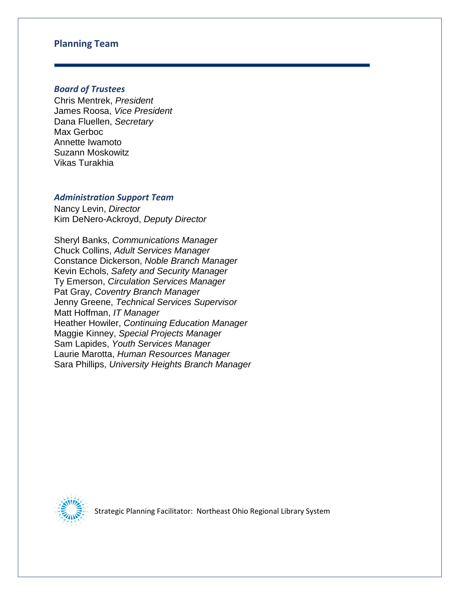#### **Planning Team**

#### *Board of Trustees*

Chris Mentrek, *President* James Roosa, *Vice President* Dana Fluellen, *Secretary* Max Gerboc Annette Iwamoto Suzann Moskowitz Vikas Turakhia

#### *Administration Support Team*

Nancy Levin, *Director* Kim DeNero-Ackroyd, *Deputy Director*

Sheryl Banks, *Communications Manager* Chuck Collins, *Adult Services Manager* Constance Dickerson, *Noble Branch Manager*  Kevin Echols, *Safety and Security Manager* Ty Emerson, *Circulation Services Manager* Pat Gray, *Coventry Branch Manager* Jenny Greene, *Technical Services Supervisor* Matt Hoffman, *IT Manager* Heather Howiler, *Continuing Education Manager* Maggie Kinney, *Special Projects Manager* Sam Lapides, *Youth Services Manager* Laurie Marotta, *Human Resources Manager* Sara Phillips, *University Heights Branch Manager*



Strategic Planning Facilitator: Northeast Ohio Regional Library System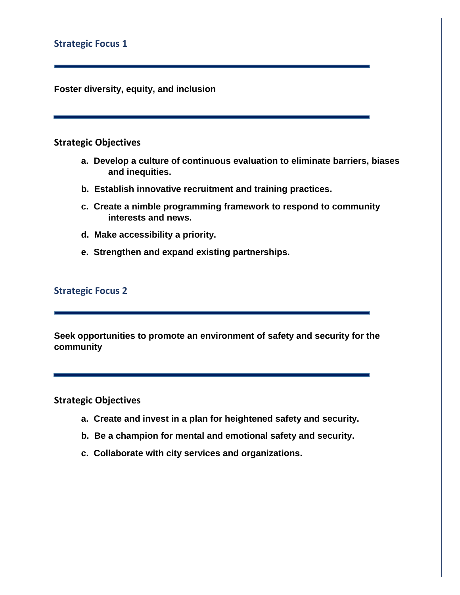## **Strategic Focus 1**

**Foster diversity, equity, and inclusion**

#### **Strategic Objectives**

- **a. Develop a culture of continuous evaluation to eliminate barriers, biases and inequities.**
- **b. Establish innovative recruitment and training practices.**
- **c. Create a nimble programming framework to respond to community interests and news.**
- **d. Make accessibility a priority.**
- **e. Strengthen and expand existing partnerships.**

## **Strategic Focus 2**

**Seek opportunities to promote an environment of safety and security for the community**

**Strategic Objectives** 

- **a. Create and invest in a plan for heightened safety and security.**
- **b. Be a champion for mental and emotional safety and security.**
- **c. Collaborate with city services and organizations.**